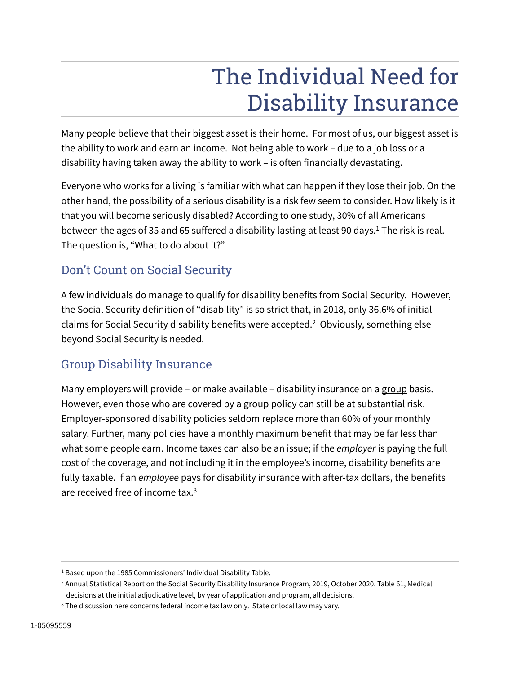# The Individual Need for Disability Insurance

Many people believe that their biggest asset is their home. For most of us, our biggest asset is the ability to work and earn an income. Not being able to work – due to a job loss or a disability having taken away the ability to work – is often financially devastating.

Everyone who works for a living is familiar with what can happen if they lose their job. On the other hand, the possibility of a serious disability is a risk few seem to consider. How likely is it that you will become seriously disabled? According to one study, 30% of all Americans between the ages of 35 and 65 suffered a disability lasting at least 90 days. $^1$  The risk is real. The question is, "What to do about it?"

### Don't Count on Social Security

A few individuals do manage to qualify for disability benefits from Social Security. However, the Social Security definition of "disability" is so strict that, in 2018, only 36.6% of initial claims for Social Security disability benefits were accepted.<sup>2</sup> Obviously, something else beyond Social Security is needed.

#### Group Disability Insurance

Many employers will provide – or make available – disability insurance on a group basis. However, even those who are covered by a group policy can still be at substantial risk. Employer-sponsored disability policies seldom replace more than 60% of your monthly salary. Further, many policies have a monthly maximum benefit that may be far less than what some people earn. Income taxes can also be an issue; if the *employer* is paying the full cost of the coverage, and not including it in the employee's income, disability benefits are fully taxable. If an *employee* pays for disability insurance with after-tax dollars, the benefits are received free of income tax.<sup>3</sup>

<sup>&</sup>lt;sup>1</sup> Based upon the 1985 Commissioners' Individual Disability Table.

<sup>2</sup> Annual Statistical Report on the Social Security Disability Insurance Program, 2019, October 2020. Table 61, Medical decisions at the initial adjudicative level, by year of application and program, all decisions.

<sup>&</sup>lt;sup>3</sup> The discussion here concerns federal income tax law only. State or local law may vary.